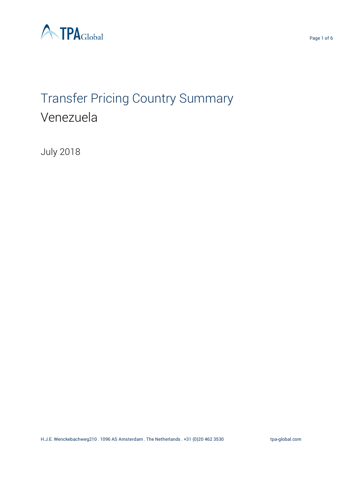

# Transfer Pricing Country Summary Venezuela

July 2018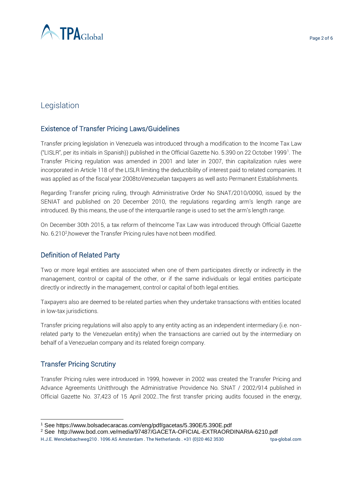

# Legislation

# Existence of Transfer Pricing Laws/Guidelines

Transfer pricing legislation in Venezuela was introduced through a modification to the Income Tax Law ("LISLR", per its initials in Spanish)) published in the Official Gazette No. 5.390 on 22 October 1999<sup>1</sup>. The Transfer Pricing regulation was amended in 2001 and later in 2007, thin capitalization rules were incorporated in Article 118 of the LISLR limiting the deductibility of interest paid to related companies. It was applied as of the fiscal year 2008toVenezuelan taxpayers as well asto Permanent Establishments.

Regarding Transfer pricing ruling, through Administrative Order No SNAT/2010/0090, issued by the SENIAT and published on 20 December 2010, the regulations regarding arm's length range are introduced. By this means, the use of the interquartile range is used to set the arm's length range.

On December 30th 2015, a tax reform of theIncome Tax Law was introduced through Official Gazette No. 6.210<sup>2</sup>, however the Transfer Pricing rules have not been modified.

## Definition of Related Party

Two or more legal entities are associated when one of them participates directly or indirectly in the management, control or capital of the other, or if the same individuals or legal entities participate directly or indirectly in the management, control or capital of both legal entities.

Taxpayers also are deemed to be related parties when they undertake transactions with entities located in low-tax jurisdictions.

Transfer pricing regulations will also apply to any entity acting as an independent intermediary (i.e. nonrelated party to the Venezuelan entity) when the transactions are carried out by the intermediary on behalf of a Venezuelan company and its related foreign company.

## Transfer Pricing Scrutiny

-

Transfer Pricing rules were introduced in 1999, however in 2002 was created the Transfer Pricing and Advance Agreements Unitthrough the Administrative Providence No. SNAT / 2002/914 published in Official Gazette No. 37,423 of 15 April 2002..The first transfer pricing audits focused in the energy,

<sup>2</sup> See http://www.bod.com.ve/media/97487/GACETA-OFICIAL-EXTRAORDINARIA-6210.pdf

<sup>1</sup> See https://www.bolsadecaracas.com/eng/pdf/gacetas/5.390E/5.390E.pdf

H.J.E. Wenckebachweg210 . 1096 AS Amsterdam . The Netherlands . +31 (0)20 462 3530 [tpa-global.com](http://tpa-global.com/)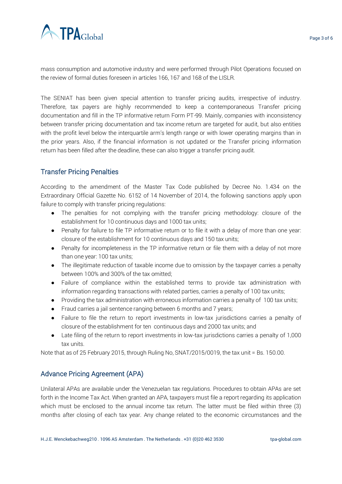

mass consumption and automotive industry and were performed through Pilot Operations focused on the review of formal duties foreseen in articles 166, 167 and 168 of the LISLR.

The SENIAT has been given special attention to transfer pricing audits, irrespective of industry. Therefore, tax payers are highly recommended to keep a contemporaneous Transfer pricing documentation and fill in the TP informative return Form PT-99. Mainly, companies with inconsistency between transfer pricing documentation and tax income return are targeted for audit, but also entities with the profit level below the interquartile arm's length range or with lower operating margins than in the prior years. Also, if the financial information is not updated or the Transfer pricing information return has been filled after the deadline, these can also trigger a transfer pricing audit.

#### Transfer Pricing Penalties

According to the amendment of the Master Tax Code published by Decree No. 1.434 on the Extraordinary Official Gazette No. 6152 of 14 November of 2014, the following sanctions apply upon failure to comply with transfer pricing regulations:

- The penalties for not complying with the transfer pricing methodology: closure of the establishment for 10 continuous days and 1000 tax units;
- Penalty for failure to file TP informative return or to file it with a delay of more than one year: closure of the establishment for 10 continuous days and 150 tax units;
- Penalty for incompleteness in the TP informative return or file them with a delay of not more than one year: 100 tax units;
- The illegitimate reduction of taxable income due to omission by the taxpayer carries a penalty between 100% and 300% of the tax omitted;
- Failure of compliance within the established terms to provide tax administration with information regarding transactions with related parties, carries a penalty of 100 tax units;
- Providing the tax administration with erroneous information carries a penalty of 100 tax units;
- Fraud carries a jail sentence ranging between 6 months and 7 years;
- Failure to file the return to report investments in low-tax jurisdictions carries a penalty of closure of the establishment for ten continuous days and 2000 tax units; and
- Late filing of the return to report investments in low-tax jurisdictions carries a penalty of 1,000 tax units.

Note that as of 25 February 2015, through Ruling No, SNAT/2015/0019, the tax unit = Bs. 150.00.

## Advance Pricing Agreement (APA)

Unilateral APAs are available under the Venezuelan tax regulations. Procedures to obtain APAs are set forth in the Income Tax Act. When granted an APA, taxpayers must file a report regarding its application which must be enclosed to the annual income tax return. The latter must be filed within three (3) months after closing of each tax year. Any change related to the economic circumstances and the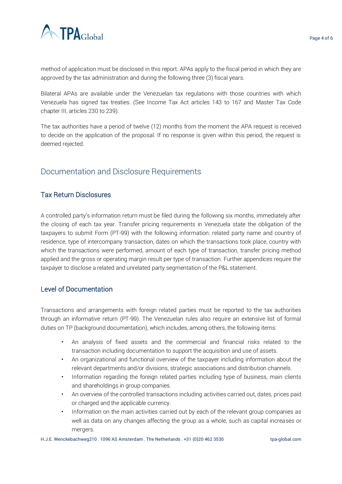

method of application must be disclosed in this report. APAs apply to the fiscal period in which they are approved by the tax administration and during the following three (3) fiscal years.

Bilateral APAs are available under the Venezuelan tax regulations with those countries with which Venezuela has signed tax treaties. (See Income Tax Act articles 143 to 167 and Master Tax Code chapter III, articles 230 to 239).

The tax authorities have a period of twelve (12) months from the moment the APA request is received to decide on the application of the proposal. If no response is given within this period, the request is deemed rejected.

# Documentation and Disclosure Requirements

#### Tax Return Disclosures

A controlled party's information return must be filed during the following six months, immediately after the closing of each tax year. Transfer pricing requirements in Venezuela state the obligation of the taxpayers to submit Form (PT-99) with the following information: related party name and country of residence, type of intercompany transaction, dates on which the transactions took place, country with which the transactions were performed, amount of each type of transaction, transfer pricing method applied and the gross or operating margin result per type of transaction. Further appendices require the taxpayer to disclose a related and unrelated party segmentation of the P&L statement.

#### Level of Documentation

Transactions and arrangements with foreign related parties must be reported to the tax authorities through an informative return (PT-99). The Venezuelan rules also require an extensive list of formal duties on TP (background documentation), which includes, among others, the following items:

- An analysis of fixed assets and the commercial and financial risks related to the transaction including documentation to support the acquisition and use of assets.
- An organizational and functional overview of the taxpayer including information about the relevant departments and/or divisions, strategic associations and distribution channels.
- Information regarding the foreign related parties including type of business, main clients and shareholdings in group companies.
- An overview of the controlled transactions including activities carried out, dates, prices paid or charged and the applicable currency.
- Information on the main activities carried out by each of the relevant group companies as well as data on any changes affecting the group as a whole, such as capital increases or mergers.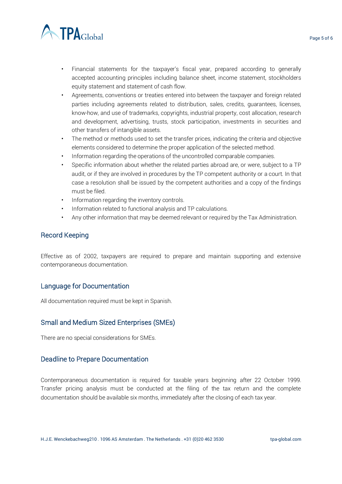

- Financial statements for the taxpayer's fiscal year, prepared according to generally accepted accounting principles including balance sheet, income statement, stockholders equity statement and statement of cash flow.
- Agreements, conventions or treaties entered into between the taxpayer and foreign related parties including agreements related to distribution, sales, credits, guarantees, licenses, know-how, and use of trademarks, copyrights, industrial property, cost allocation, research and development, advertising, trusts, stock participation, investments in securities and other transfers of intangible assets.
- The method or methods used to set the transfer prices, indicating the criteria and objective elements considered to determine the proper application of the selected method.
- Information regarding the operations of the uncontrolled comparable companies.
- Specific information about whether the related parties abroad are, or were, subject to a TP audit, or if they are involved in procedures by the TP competent authority or a court. In that case a resolution shall be issued by the competent authorities and a copy of the findings must be filed.
- Information regarding the inventory controls.
- Information related to functional analysis and TP calculations.
- Any other information that may be deemed relevant or required by the Tax Administration.

#### Record Keeping

Effective as of 2002, taxpayers are required to prepare and maintain supporting and extensive contemporaneous documentation.

#### Language for Documentation

All documentation required must be kept in Spanish.

#### Small and Medium Sized Enterprises (SMEs)

There are no special considerations for SMEs.

#### Deadline to Prepare Documentation

Contemporaneous documentation is required for taxable years beginning after 22 October 1999. Transfer pricing analysis must be conducted at the filing of the tax return and the complete documentation should be available six months, immediately after the closing of each tax year.